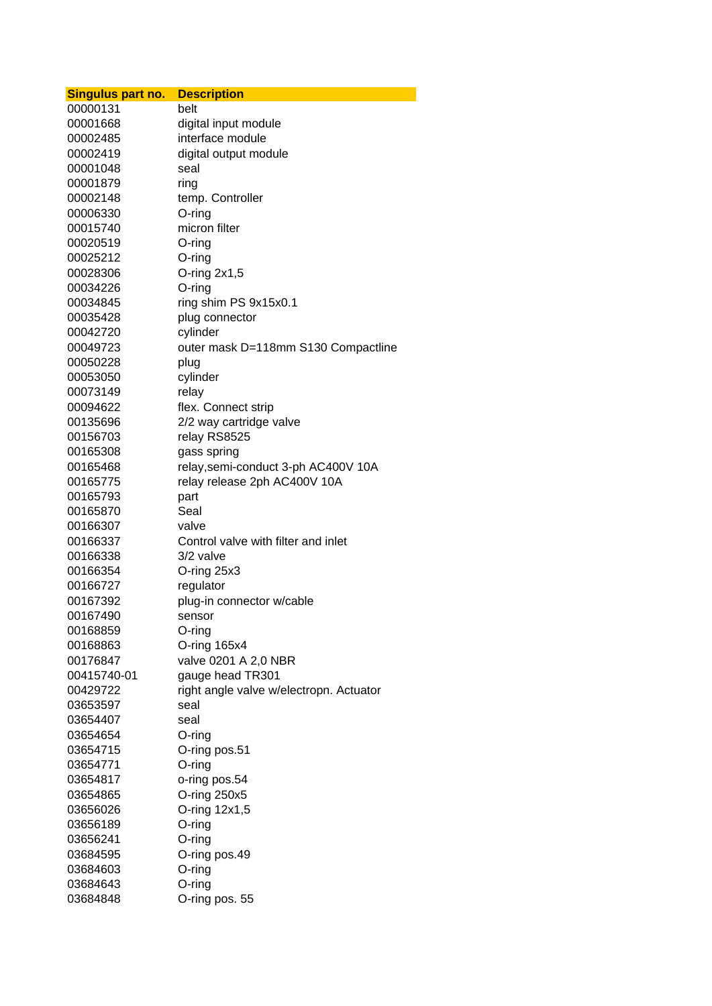| <b>Singulus part no.</b> | <b>Description</b>                      |
|--------------------------|-----------------------------------------|
| 00000131                 | belt                                    |
| 00001668                 | digital input module                    |
| 00002485                 | interface module                        |
| 00002419                 | digital output module                   |
| 00001048                 | seal                                    |
| 00001879                 | ring                                    |
| 00002148                 | temp. Controller                        |
| 00006330                 | O-ring                                  |
| 00015740                 | micron filter                           |
| 00020519                 | O-ring                                  |
| 00025212                 | O-ring                                  |
| 00028306                 | O-ring $2x1,5$                          |
| 00034226                 | O-ring                                  |
| 00034845                 | ring shim PS 9x15x0.1                   |
| 00035428                 | plug connector                          |
| 00042720                 | cylinder                                |
| 00049723                 | outer mask D=118mm S130 Compactline     |
| 00050228                 | plug                                    |
| 00053050                 | cylinder                                |
| 00073149                 | relay                                   |
| 00094622                 | flex. Connect strip                     |
| 00135696                 | 2/2 way cartridge valve                 |
| 00156703                 | relay RS8525                            |
| 00165308                 | gass spring                             |
| 00165468                 | relay, semi-conduct 3-ph AC400V 10A     |
| 00165775                 | relay release 2ph AC400V 10A            |
| 00165793                 | part                                    |
| 00165870                 | Seal                                    |
| 00166307                 | valve                                   |
| 00166337                 | Control valve with filter and inlet     |
| 00166338                 | 3/2 valve                               |
| 00166354                 | O-ring 25x3                             |
| 00166727                 | regulator                               |
| 00167392                 | plug-in connector w/cable               |
| 00167490                 | sensor                                  |
| 00168859                 | O-ring                                  |
| 00168863                 | O-ring 165x4                            |
| 00176847                 | valve 0201 A 2,0 NBR                    |
| 00415740-01              | gauge head TR301                        |
| 00429722                 | right angle valve w/electropn. Actuator |
| 03653597                 | seal                                    |
| 03654407                 | seal                                    |
| 03654654                 | O-ring                                  |
| 03654715                 | O-ring pos.51                           |
| 03654771                 | $O$ -ring                               |
| 03654817                 | o-ring pos.54                           |
| 03654865                 | O-ring 250x5                            |
| 03656026                 | O-ring 12x1,5                           |
| 03656189                 | $O$ -ring                               |
| 03656241                 | O-ring                                  |
| 03684595                 | O-ring pos.49                           |
| 03684603                 | $O$ -ring                               |
| 03684643                 | O-ring                                  |
| 03684848                 | O-ring pos. 55                          |